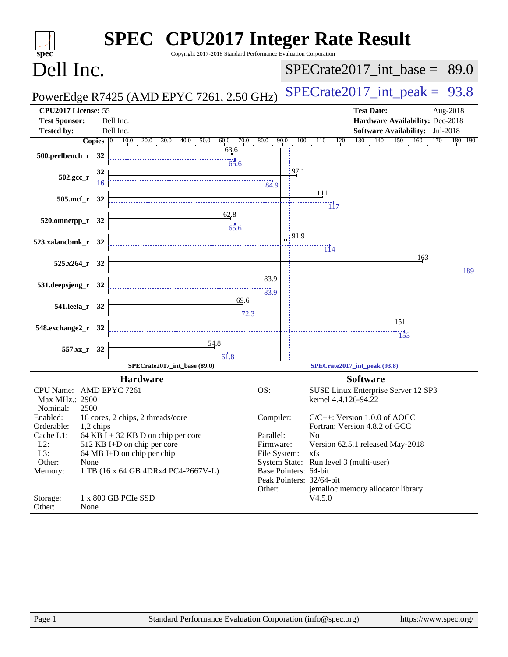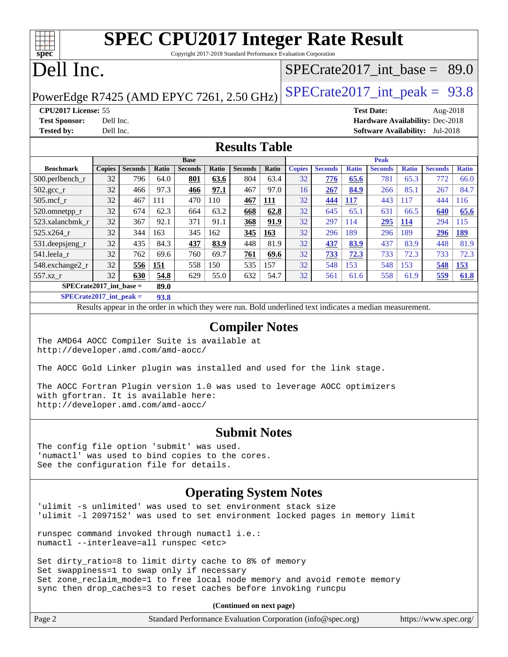Copyright 2017-2018 Standard Performance Evaluation Corporation

# Dell Inc.

**[spec](http://www.spec.org/)**

### SPECrate2017 int\_base =  $89.0$

PowerEdge R7425 (AMD EPYC 7261, 2.50 GHz)  $\left|$  [SPECrate2017\\_int\\_peak =](http://www.spec.org/auto/cpu2017/Docs/result-fields.html#SPECrate2017intpeak) 93.8

**[Tested by:](http://www.spec.org/auto/cpu2017/Docs/result-fields.html#Testedby)** Dell Inc. **[Software Availability:](http://www.spec.org/auto/cpu2017/Docs/result-fields.html#SoftwareAvailability)** Jul-2018

**[CPU2017 License:](http://www.spec.org/auto/cpu2017/Docs/result-fields.html#CPU2017License)** 55 **[Test Date:](http://www.spec.org/auto/cpu2017/Docs/result-fields.html#TestDate)** Aug-2018 **[Test Sponsor:](http://www.spec.org/auto/cpu2017/Docs/result-fields.html#TestSponsor)** Dell Inc. **[Hardware Availability:](http://www.spec.org/auto/cpu2017/Docs/result-fields.html#HardwareAvailability)** Dec-2018

#### **[Results Table](http://www.spec.org/auto/cpu2017/Docs/result-fields.html#ResultsTable)**

|                           | <b>Base</b>   |                |       |                |       | <b>Peak</b>    |            |               |                |              |                |              |                |              |
|---------------------------|---------------|----------------|-------|----------------|-------|----------------|------------|---------------|----------------|--------------|----------------|--------------|----------------|--------------|
| <b>Benchmark</b>          | <b>Copies</b> | <b>Seconds</b> | Ratio | <b>Seconds</b> | Ratio | <b>Seconds</b> | Ratio      | <b>Copies</b> | <b>Seconds</b> | <b>Ratio</b> | <b>Seconds</b> | <b>Ratio</b> | <b>Seconds</b> | <b>Ratio</b> |
| $500$ .perlbench r        | 32            | 796            | 64.0  | 801            | 63.6  | 804            | 63.4       | 32            | 776            | 65.6         | 781            | 65.3         | 772            | 66.0         |
| 502.gcc_r                 | 32            | 466            | 97.3  | 466            | 97.1  | 467            | 97.0       | 16            | 267            | 84.9         | 266            | 85.1         | 267            | 84.7         |
| $505$ .mcf r              | 32            | 467            | 111   | 470            | 110   | 467            | <u>111</u> | 32            | 444            | <b>117</b>   | 443            | 117          | 444            | 116          |
| 520.omnetpp_r             | 32            | 674            | 62.3  | 664            | 63.2  | 668            | 62.8       | 32            | 645            | 65.1         | 631            | 66.5         | 640            | 65.6         |
| 523.xalancbmk r           | 32            | 367            | 92.1  | 371            | 91.1  | 368            | 91.9       | 32            | 297            | 114          | 295            | <b>114</b>   | 294            | 115          |
| 525.x264 r                | 32            | 344            | 163   | 345            | 162   | 345            | 163        | 32            | 296            | 189          | 296            | 189          | 296            | <u>189</u>   |
| 531.deepsjeng_r           | 32            | 435            | 84.3  | 437            | 83.9  | 448            | 81.9       | 32            | 437            | 83.9         | 437            | 83.9         | 448            | 81.9         |
| 541.leela r               | 32            | 762            | 69.6  | 760            | 69.7  | 761            | 69.6       | 32            | 733            | 72.3         | 733            | 72.3         | 733            | 72.3         |
| 548.exchange2 r           | 32            | 556            | 151   | 558            | 150   | 535            | 157        | 32            | 548            | 153          | 548            | 153          | 548            | 153          |
| $557.xz$ r                | 32            | 630            | 54.8  | 629            | 55.0  | 632            | 54.7       | 32            | 561            | 61.6         | 558            | 61.9         | 559            | 61.8         |
| $SPECrate2017$ int base = |               |                | 89.0  |                |       |                |            |               |                |              |                |              |                |              |

**[SPECrate2017\\_int\\_peak =](http://www.spec.org/auto/cpu2017/Docs/result-fields.html#SPECrate2017intpeak) 93.8**

Results appear in the [order in which they were run.](http://www.spec.org/auto/cpu2017/Docs/result-fields.html#RunOrder) Bold underlined text [indicates a median measurement.](http://www.spec.org/auto/cpu2017/Docs/result-fields.html#Median)

#### **[Compiler Notes](http://www.spec.org/auto/cpu2017/Docs/result-fields.html#CompilerNotes)**

The AMD64 AOCC Compiler Suite is available at <http://developer.amd.com/amd-aocc/>

The AOCC Gold Linker plugin was installed and used for the link stage.

The AOCC Fortran Plugin version 1.0 was used to leverage AOCC optimizers with gfortran. It is available here: <http://developer.amd.com/amd-aocc/>

#### **[Submit Notes](http://www.spec.org/auto/cpu2017/Docs/result-fields.html#SubmitNotes)**

The config file option 'submit' was used. 'numactl' was used to bind copies to the cores. See the configuration file for details.

#### **[Operating System Notes](http://www.spec.org/auto/cpu2017/Docs/result-fields.html#OperatingSystemNotes)**

'ulimit -s unlimited' was used to set environment stack size 'ulimit -l 2097152' was used to set environment locked pages in memory limit

runspec command invoked through numactl i.e.: numactl --interleave=all runspec <etc>

Set dirty\_ratio=8 to limit dirty cache to 8% of memory Set swappiness=1 to swap only if necessary Set zone\_reclaim\_mode=1 to free local node memory and avoid remote memory sync then drop\_caches=3 to reset caches before invoking runcpu

**(Continued on next page)**

| Page 2 | Standard Performance Evaluation Corporation (info@spec.org) | https://www.spec.org/ |
|--------|-------------------------------------------------------------|-----------------------|
|--------|-------------------------------------------------------------|-----------------------|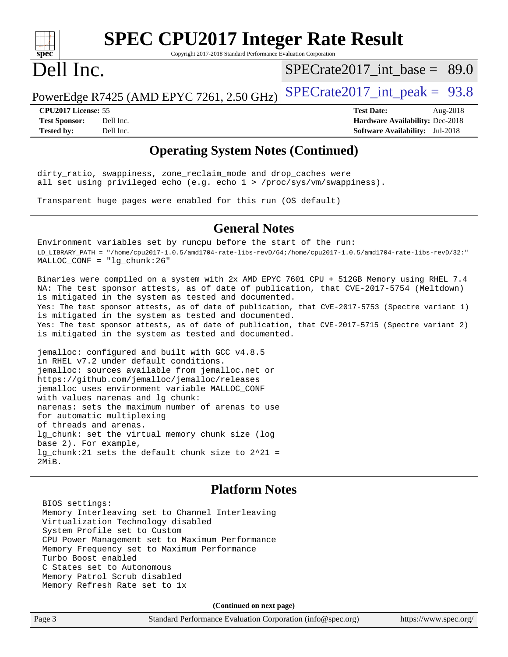

Copyright 2017-2018 Standard Performance Evaluation Corporation

## Dell Inc.

 $SPECrate2017\_int\_base = 89.0$ 

PowerEdge R7425 (AMD EPYC 7261, 2.50 GHz)  $\left|$  [SPECrate2017\\_int\\_peak =](http://www.spec.org/auto/cpu2017/Docs/result-fields.html#SPECrate2017intpeak) 93.8

**[CPU2017 License:](http://www.spec.org/auto/cpu2017/Docs/result-fields.html#CPU2017License)** 55 **[Test Date:](http://www.spec.org/auto/cpu2017/Docs/result-fields.html#TestDate)** Aug-2018 **[Test Sponsor:](http://www.spec.org/auto/cpu2017/Docs/result-fields.html#TestSponsor)** Dell Inc. **[Hardware Availability:](http://www.spec.org/auto/cpu2017/Docs/result-fields.html#HardwareAvailability)** Dec-2018 **[Tested by:](http://www.spec.org/auto/cpu2017/Docs/result-fields.html#Testedby)** Dell Inc. **[Software Availability:](http://www.spec.org/auto/cpu2017/Docs/result-fields.html#SoftwareAvailability)** Jul-2018

### **[Operating System Notes \(Continued\)](http://www.spec.org/auto/cpu2017/Docs/result-fields.html#OperatingSystemNotes)**

dirty\_ratio, swappiness, zone\_reclaim\_mode and drop\_caches were all set using privileged echo (e.g. echo 1 > /proc/sys/vm/swappiness).

Transparent huge pages were enabled for this run (OS default)

#### **[General Notes](http://www.spec.org/auto/cpu2017/Docs/result-fields.html#GeneralNotes)**

Environment variables set by runcpu before the start of the run: LD\_LIBRARY\_PATH = "/home/cpu2017-1.0.5/amd1704-rate-libs-revD/64;/home/cpu2017-1.0.5/amd1704-rate-libs-revD/32:" MALLOC\_CONF = "lg\_chunk:26"

Binaries were compiled on a system with 2x AMD EPYC 7601 CPU + 512GB Memory using RHEL 7.4 NA: The test sponsor attests, as of date of publication, that CVE-2017-5754 (Meltdown) is mitigated in the system as tested and documented. Yes: The test sponsor attests, as of date of publication, that CVE-2017-5753 (Spectre variant 1) is mitigated in the system as tested and documented. Yes: The test sponsor attests, as of date of publication, that CVE-2017-5715 (Spectre variant 2) is mitigated in the system as tested and documented.

jemalloc: configured and built with GCC v4.8.5 in RHEL v7.2 under default conditions. jemalloc: sources available from jemalloc.net or <https://github.com/jemalloc/jemalloc/releases> jemalloc uses environment variable MALLOC\_CONF with values narenas and lg\_chunk: narenas: sets the maximum number of arenas to use for automatic multiplexing of threads and arenas. lg\_chunk: set the virtual memory chunk size (log base 2). For example, lg\_chunk:21 sets the default chunk size to 2^21 = 2MiB.

#### **[Platform Notes](http://www.spec.org/auto/cpu2017/Docs/result-fields.html#PlatformNotes)**

 BIOS settings: Memory Interleaving set to Channel Interleaving Virtualization Technology disabled System Profile set to Custom CPU Power Management set to Maximum Performance Memory Frequency set to Maximum Performance Turbo Boost enabled C States set to Autonomous Memory Patrol Scrub disabled Memory Refresh Rate set to 1x

**(Continued on next page)**

Page 3 Standard Performance Evaluation Corporation [\(info@spec.org\)](mailto:info@spec.org) <https://www.spec.org/>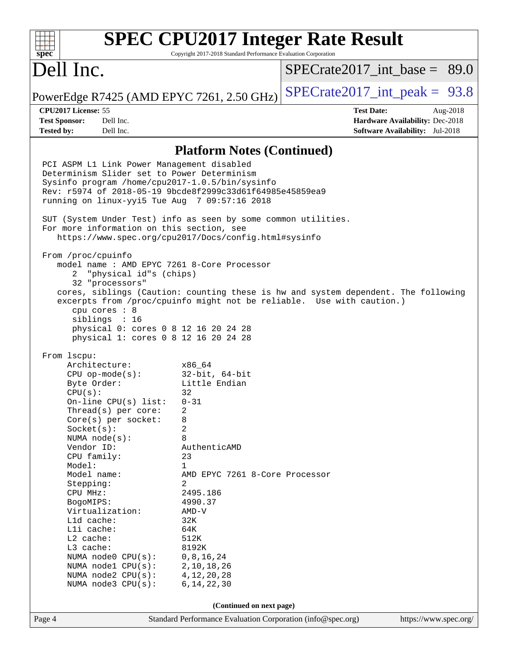#### **[SPEC CPU2017 Integer Rate Result](http://www.spec.org/auto/cpu2017/Docs/result-fields.html#SPECCPU2017IntegerRateResult)**  $+\ +$ **[spec](http://www.spec.org/)** Copyright 2017-2018 Standard Performance Evaluation Corporation Dell Inc. SPECrate2017 int\_base =  $89.0$ PowerEdge R7425 (AMD EPYC 7261, 2.50 GHz)  $\text{SPECrate}2017\_int\_peak = 93.8$ **[CPU2017 License:](http://www.spec.org/auto/cpu2017/Docs/result-fields.html#CPU2017License)** 55 **[Test Date:](http://www.spec.org/auto/cpu2017/Docs/result-fields.html#TestDate)** Aug-2018 **[Test Sponsor:](http://www.spec.org/auto/cpu2017/Docs/result-fields.html#TestSponsor)** Dell Inc. **[Hardware Availability:](http://www.spec.org/auto/cpu2017/Docs/result-fields.html#HardwareAvailability)** Dec-2018 **[Tested by:](http://www.spec.org/auto/cpu2017/Docs/result-fields.html#Testedby)** Dell Inc. **[Software Availability:](http://www.spec.org/auto/cpu2017/Docs/result-fields.html#SoftwareAvailability)** Jul-2018 **[Platform Notes \(Continued\)](http://www.spec.org/auto/cpu2017/Docs/result-fields.html#PlatformNotes)** PCI ASPM L1 Link Power Management disabled Determinism Slider set to Power Determinism Sysinfo program /home/cpu2017-1.0.5/bin/sysinfo Rev: r5974 of 2018-05-19 9bcde8f2999c33d61f64985e45859ea9 running on linux-yyi5 Tue Aug 7 09:57:16 2018 SUT (System Under Test) info as seen by some common utilities. For more information on this section, see <https://www.spec.org/cpu2017/Docs/config.html#sysinfo> From /proc/cpuinfo model name : AMD EPYC 7261 8-Core Processor 2 "physical id"s (chips) 32 "processors" cores, siblings (Caution: counting these is hw and system dependent. The following excerpts from /proc/cpuinfo might not be reliable. Use with caution.) cpu cores : 8 siblings : 16 physical 0: cores 0 8 12 16 20 24 28 physical 1: cores 0 8 12 16 20 24 28 From lscpu: Architecture: x86\_64 CPU op-mode(s): 32-bit, 64-bit Byte Order: Little Endian  $CPU(s):$  32 On-line CPU(s) list: 0-31 Thread(s) per core: 2 Core(s) per socket: 8 Socket(s): 2 NUMA node(s): 8 Vendor ID: AuthenticAMD CPU family: 23 Model: 1 Model name: AMD EPYC 7261 8-Core Processor Stepping: 2 CPU MHz: 2495.186 BogoMIPS: 4990.37 Virtualization: AMD-V L1d cache: 32K L1i cache: 64K L2 cache: 512K L3 cache: 8192K NUMA node0 CPU(s): 0,8,16,24 NUMA node1 CPU(s): 2,10,18,26 NUMA node2 CPU(s): 4,12,20,28 NUMA node3 CPU(s): 6,14,22,30 **(Continued on next page)**Page 4 Standard Performance Evaluation Corporation [\(info@spec.org\)](mailto:info@spec.org) <https://www.spec.org/>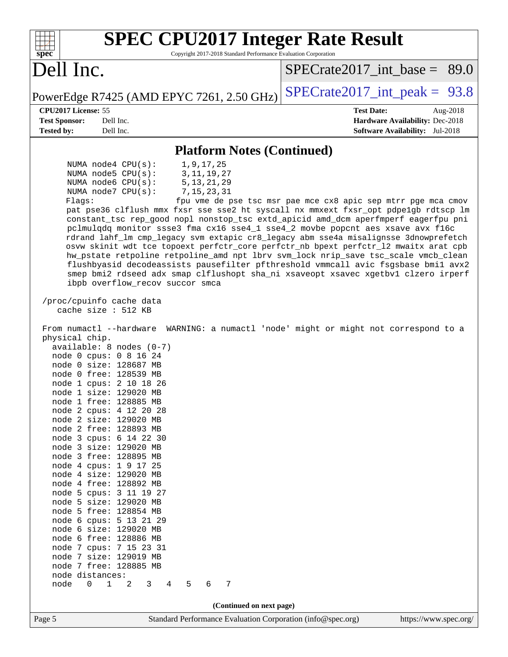| <b>SPEC CPU2017 Integer Rate Result</b><br>Copyright 2017-2018 Standard Performance Evaluation Corporation<br>spec <sup>®</sup>                                                                                                                                                                                                                                                                                                                                                                                                                                                                                                                                                                                                                                                                                                                                                                                                                        |                                                                                                            |
|--------------------------------------------------------------------------------------------------------------------------------------------------------------------------------------------------------------------------------------------------------------------------------------------------------------------------------------------------------------------------------------------------------------------------------------------------------------------------------------------------------------------------------------------------------------------------------------------------------------------------------------------------------------------------------------------------------------------------------------------------------------------------------------------------------------------------------------------------------------------------------------------------------------------------------------------------------|------------------------------------------------------------------------------------------------------------|
| Dell Inc.                                                                                                                                                                                                                                                                                                                                                                                                                                                                                                                                                                                                                                                                                                                                                                                                                                                                                                                                              | $SPECrate2017\_int\_base = 89.0$                                                                           |
| PowerEdge R7425 (AMD EPYC 7261, 2.50 GHz)                                                                                                                                                                                                                                                                                                                                                                                                                                                                                                                                                                                                                                                                                                                                                                                                                                                                                                              | $SPECTate2017\_int\_peak = 93.8$                                                                           |
| CPU2017 License: 55<br><b>Test Sponsor:</b><br>Dell Inc.<br>Dell Inc.<br><b>Tested by:</b>                                                                                                                                                                                                                                                                                                                                                                                                                                                                                                                                                                                                                                                                                                                                                                                                                                                             | <b>Test Date:</b><br>Aug-2018<br>Hardware Availability: Dec-2018<br><b>Software Availability:</b> Jul-2018 |
| <b>Platform Notes (Continued)</b>                                                                                                                                                                                                                                                                                                                                                                                                                                                                                                                                                                                                                                                                                                                                                                                                                                                                                                                      |                                                                                                            |
| NUMA $node4$ $CPU(s)$ :<br>1,9,17,25<br>NUMA $node5$ $CPU(s):$<br>3, 11, 19, 27<br>NUMA node6 CPU(s):<br>5, 13, 21, 29<br>NUMA node7 CPU(s):<br>7, 15, 23, 31<br>Flags:<br>pat pse36 clflush mmx fxsr sse sse2 ht syscall nx mmxext fxsr_opt pdpelgb rdtscp lm<br>constant_tsc rep_good nopl nonstop_tsc extd_apicid amd_dcm aperfmperf eagerfpu pni<br>pclmulqdq monitor ssse3 fma cx16 sse4_1 sse4_2 movbe popcnt aes xsave avx f16c<br>rdrand lahf_lm cmp_legacy svm extapic cr8_legacy abm sse4a misalignsse 3dnowprefetch<br>osvw skinit wdt tce topoext perfctr_core perfctr_nb bpext perfctr_12 mwaitx arat cpb<br>hw_pstate retpoline retpoline_amd npt lbrv svm_lock nrip_save tsc_scale vmcb_clean<br>flushbyasid decodeassists pausefilter pfthreshold vmmcall avic fsgsbase bmil avx2<br>smep bmi2 rdseed adx smap clflushopt sha_ni xsaveopt xsavec xgetbvl clzero irperf<br>ibpb overflow_recov succor smca                              | fpu vme de pse tsc msr pae mce cx8 apic sep mtrr pge mca cmov                                              |
| /proc/cpuinfo cache data<br>cache size : 512 KB<br>From numactl --hardware WARNING: a numactl 'node' might or might not correspond to a<br>physical chip.<br>$available: 8 nodes (0-7)$<br>node 0 cpus: 0 8 16 24<br>node 0 size: 128687 MB<br>node 0 free: 128539 MB<br>node 1 cpus: 2 10 18 26<br>node 1 size: 129020 MB<br>node 1 free: 128885 MB<br>node 2 cpus: 4 12 20 28<br>node 2 size: 129020 MB<br>node 2 free: 128893 MB<br>node 3 cpus: 6 14 22 30<br>node 3 size: 129020 MB<br>node 3 free: 128895 MB<br>node 4 cpus: 1 9 17 25<br>node 4 size: 129020 MB<br>node 4 free: 128892 MB<br>node 5 cpus: 3 11 19 27<br>node 5 size: 129020 MB<br>node 5 free: 128854 MB<br>node 6 cpus: 5 13 21 29<br>node 6 size: 129020 MB<br>node 6 free: 128886 MB<br>node 7 cpus: 7 15 23 31<br>node 7 size: 129019 MB<br>node 7 free: 128885 MB<br>node distances:<br>7<br>node<br>0<br>$\mathbf 1$<br>2<br>3<br>4<br>5<br>6<br>(Continued on next page) |                                                                                                            |
| Standard Performance Evaluation Corporation (info@spec.org)<br>Page 5                                                                                                                                                                                                                                                                                                                                                                                                                                                                                                                                                                                                                                                                                                                                                                                                                                                                                  | https://www.spec.org/                                                                                      |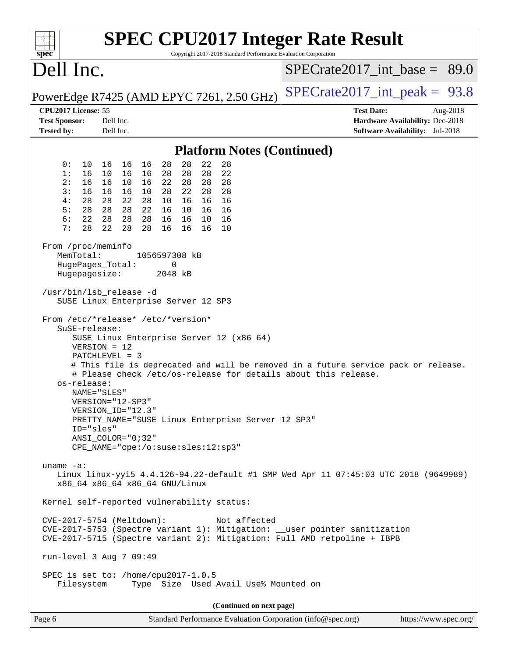| spec <sup>®</sup>                                                                             |                                                                                                                                           |                                                                                                                                        | Copyright 2017-2018 Standard Performance Evaluation Corporation | <b>SPEC CPU2017 Integer Rate Result</b>                                                                                                                |                                                                                |
|-----------------------------------------------------------------------------------------------|-------------------------------------------------------------------------------------------------------------------------------------------|----------------------------------------------------------------------------------------------------------------------------------------|-----------------------------------------------------------------|--------------------------------------------------------------------------------------------------------------------------------------------------------|--------------------------------------------------------------------------------|
| Dell Inc.                                                                                     |                                                                                                                                           |                                                                                                                                        |                                                                 | $SPECrate2017\_int\_base = 89.0$                                                                                                                       |                                                                                |
|                                                                                               |                                                                                                                                           |                                                                                                                                        | PowerEdge R7425 (AMD EPYC 7261, 2.50 GHz)                       | $SPECTate2017\_int\_peak = 93.8$                                                                                                                       |                                                                                |
| CPU2017 License: 55<br><b>Test Sponsor:</b><br><b>Tested by:</b>                              | Dell Inc.<br>Dell Inc.                                                                                                                    |                                                                                                                                        |                                                                 | <b>Test Date:</b>                                                                                                                                      | Aug-2018<br>Hardware Availability: Dec-2018<br>Software Availability: Jul-2018 |
|                                                                                               |                                                                                                                                           |                                                                                                                                        | <b>Platform Notes (Continued)</b>                               |                                                                                                                                                        |                                                                                |
| 0:<br>10<br>1:<br>16<br>2:<br>16<br>3:<br>16<br>4 :<br>28<br>5:<br>28<br>6:<br>22<br>7:<br>28 | 16<br>16<br>16<br>10<br>16<br>16<br>16<br>16<br>10<br>16<br>16<br>10<br>22<br>28<br>28<br>28<br>28 22<br>28<br>28<br>28<br>22<br>28<br>28 | 28<br>28<br>28<br>28<br>28<br>22<br>28<br>28<br>22<br>28<br>28<br>10<br>16<br>16<br>16<br>10<br>16<br>16<br>16<br>10<br>16<br>16<br>16 | 22<br>28<br>22<br>28<br>28<br>16<br>16<br>16<br>10              |                                                                                                                                                        |                                                                                |
| From /proc/meminfo<br>MemTotal:<br>HugePages_Total:<br>Hugepagesize:                          |                                                                                                                                           | 1056597308 kB<br>0<br>2048 kB                                                                                                          |                                                                 |                                                                                                                                                        |                                                                                |
| /usr/bin/lsb_release -d<br>SuSE-release:                                                      |                                                                                                                                           | SUSE Linux Enterprise Server 12 SP3<br>From /etc/*release* /etc/*version*                                                              | SUSE Linux Enterprise Server 12 (x86_64)                        |                                                                                                                                                        |                                                                                |
| os-release:                                                                                   | $VERSION = 12$<br>$PATCHLEVEL = 3$<br>NAME="SLES"<br>VERSION="12-SP3"                                                                     |                                                                                                                                        |                                                                 | # This file is deprecated and will be removed in a future service pack or release.<br># Please check /etc/os-release for details about this release.   |                                                                                |
| ID="sles"                                                                                     | VERSION_ID="12.3"<br>$ANSI$ _COLOR=" $0:32$ "                                                                                             | CPE_NAME="cpe:/o:suse:sles:12:sp3"                                                                                                     | PRETTY_NAME="SUSE Linux Enterprise Server 12 SP3"               |                                                                                                                                                        |                                                                                |
| uname $-a$ :                                                                                  |                                                                                                                                           | x86 64 x86 64 x86 64 GNU/Linux                                                                                                         |                                                                 | Linux linux-yyi5 4.4.126-94.22-default #1 SMP Wed Apr 11 07:45:03 UTC 2018 (9649989)                                                                   |                                                                                |
| Kernel self-reported vulnerability status:                                                    |                                                                                                                                           |                                                                                                                                        |                                                                 |                                                                                                                                                        |                                                                                |
| CVE-2017-5754 (Meltdown):                                                                     |                                                                                                                                           |                                                                                                                                        | Not affected                                                    | CVE-2017-5753 (Spectre variant 1): Mitigation: __user pointer sanitization<br>CVE-2017-5715 (Spectre variant 2): Mitigation: Full AMD retpoline + IBPB |                                                                                |
| run-level 3 Aug 7 09:49                                                                       |                                                                                                                                           |                                                                                                                                        |                                                                 |                                                                                                                                                        |                                                                                |
| Filesystem                                                                                    |                                                                                                                                           | SPEC is set to: /home/cpu2017-1.0.5                                                                                                    | Type Size Used Avail Use% Mounted on                            |                                                                                                                                                        |                                                                                |
|                                                                                               |                                                                                                                                           |                                                                                                                                        | (Continued on next page)                                        |                                                                                                                                                        |                                                                                |
| Page 6                                                                                        |                                                                                                                                           |                                                                                                                                        |                                                                 | Standard Performance Evaluation Corporation (info@spec.org)                                                                                            | https://www.spec.org/                                                          |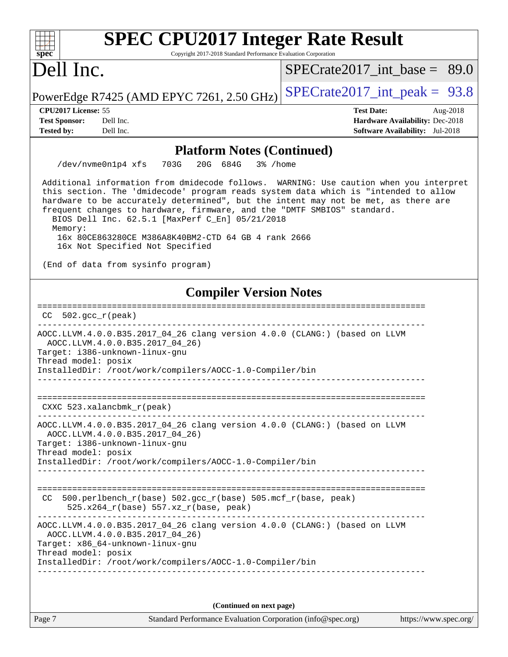| <b>SPEC CPU2017 Integer Rate Result</b>                                                                                                                                                                                                                                                                                                                                                                                                                                                                |                                                                           |
|--------------------------------------------------------------------------------------------------------------------------------------------------------------------------------------------------------------------------------------------------------------------------------------------------------------------------------------------------------------------------------------------------------------------------------------------------------------------------------------------------------|---------------------------------------------------------------------------|
| Copyright 2017-2018 Standard Performance Evaluation Corporation<br>$spec^*$                                                                                                                                                                                                                                                                                                                                                                                                                            |                                                                           |
| Dell Inc.                                                                                                                                                                                                                                                                                                                                                                                                                                                                                              | $SPECrate2017$ _int_base = 89.0                                           |
| PowerEdge R7425 (AMD EPYC 7261, 2.50 GHz)                                                                                                                                                                                                                                                                                                                                                                                                                                                              | $SPECTate2017\_int\_peak = 93.8$                                          |
| CPU <sub>2017</sub> License: 55                                                                                                                                                                                                                                                                                                                                                                                                                                                                        | <b>Test Date:</b><br>Aug-2018                                             |
| <b>Test Sponsor:</b><br>Dell Inc.<br><b>Tested by:</b><br>Dell Inc.                                                                                                                                                                                                                                                                                                                                                                                                                                    | Hardware Availability: Dec-2018<br><b>Software Availability:</b> Jul-2018 |
|                                                                                                                                                                                                                                                                                                                                                                                                                                                                                                        |                                                                           |
| <b>Platform Notes (Continued)</b>                                                                                                                                                                                                                                                                                                                                                                                                                                                                      |                                                                           |
| /dev/nvme0n1p4 xfs<br>20G 684G<br>703G<br>3% /home                                                                                                                                                                                                                                                                                                                                                                                                                                                     |                                                                           |
| Additional information from dmidecode follows. WARNING: Use caution when you interpret<br>this section. The 'dmidecode' program reads system data which is "intended to allow<br>hardware to be accurately determined", but the intent may not be met, as there are<br>frequent changes to hardware, firmware, and the "DMTF SMBIOS" standard.<br>BIOS Dell Inc. 62.5.1 [MaxPerf C_En] 05/21/2018<br>Memory:<br>16x 80CE863280CE M386A8K40BM2-CTD 64 GB 4 rank 2666<br>16x Not Specified Not Specified |                                                                           |
| (End of data from sysinfo program)                                                                                                                                                                                                                                                                                                                                                                                                                                                                     |                                                                           |
| <b>Compiler Version Notes</b>                                                                                                                                                                                                                                                                                                                                                                                                                                                                          |                                                                           |
| $CC$ 502.gcc $_r$ (peak)                                                                                                                                                                                                                                                                                                                                                                                                                                                                               |                                                                           |
|                                                                                                                                                                                                                                                                                                                                                                                                                                                                                                        |                                                                           |
| AOCC.LLVM.4.0.0.B35.2017_04_26 clang version 4.0.0 (CLANG:) (based on LLVM<br>AOCC.LLVM.4.0.0.B35.2017_04_26)<br>Target: i386-unknown-linux-gnu<br>Thread model: posix                                                                                                                                                                                                                                                                                                                                 |                                                                           |
| InstalledDir: /root/work/compilers/AOCC-1.0-Compiler/bin                                                                                                                                                                                                                                                                                                                                                                                                                                               |                                                                           |
|                                                                                                                                                                                                                                                                                                                                                                                                                                                                                                        |                                                                           |
| CXXC 523.xalancbmk r(peak)                                                                                                                                                                                                                                                                                                                                                                                                                                                                             |                                                                           |
| AOCC.LLVM.4.0.0.B35.2017_04_26 clang version 4.0.0 (CLANG:) (based on LLVM<br>AOCC.LLVM.4.0.0.B35.2017 04 26)<br>Target: i386-unknown-linux-gnu<br>Thread model: posix                                                                                                                                                                                                                                                                                                                                 |                                                                           |
| InstalledDir: /root/work/compilers/AOCC-1.0-Compiler/bin                                                                                                                                                                                                                                                                                                                                                                                                                                               |                                                                           |
|                                                                                                                                                                                                                                                                                                                                                                                                                                                                                                        |                                                                           |
| CC 500.perlbench_r(base) 502.gcc_r(base) 505.mcf_r(base, peak)<br>525.x264_r(base) 557.xz_r(base, peak)                                                                                                                                                                                                                                                                                                                                                                                                |                                                                           |
| AOCC.LLVM.4.0.0.B35.2017_04_26 clang version 4.0.0 (CLANG:) (based on LLVM<br>AOCC.LLVM.4.0.0.B35.2017_04_26)<br>Target: x86_64-unknown-linux-gnu<br>Thread model: posix                                                                                                                                                                                                                                                                                                                               |                                                                           |
| InstalledDir: /root/work/compilers/AOCC-1.0-Compiler/bin                                                                                                                                                                                                                                                                                                                                                                                                                                               |                                                                           |
|                                                                                                                                                                                                                                                                                                                                                                                                                                                                                                        |                                                                           |
|                                                                                                                                                                                                                                                                                                                                                                                                                                                                                                        |                                                                           |
| (Continued on next page)                                                                                                                                                                                                                                                                                                                                                                                                                                                                               |                                                                           |
| Standard Performance Evaluation Corporation (info@spec.org)<br>Page 7                                                                                                                                                                                                                                                                                                                                                                                                                                  | https://www.spec.org/                                                     |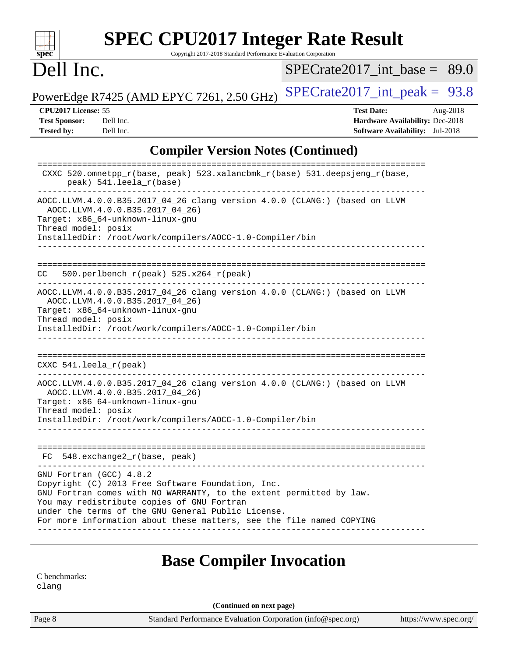#### $\pm$ **[spec](http://www.spec.org/)**

# **[SPEC CPU2017 Integer Rate Result](http://www.spec.org/auto/cpu2017/Docs/result-fields.html#SPECCPU2017IntegerRateResult)**

Copyright 2017-2018 Standard Performance Evaluation Corporation

## Dell Inc.

[SPECrate2017\\_int\\_base =](http://www.spec.org/auto/cpu2017/Docs/result-fields.html#SPECrate2017intbase) 89.0

PowerEdge R7425 (AMD EPYC 7261, 2.50 GHz) [SPECrate2017\\_int\\_peak =](http://www.spec.org/auto/cpu2017/Docs/result-fields.html#SPECrate2017intpeak)  $93.8$ 

**[CPU2017 License:](http://www.spec.org/auto/cpu2017/Docs/result-fields.html#CPU2017License)** 55 **[Test Date:](http://www.spec.org/auto/cpu2017/Docs/result-fields.html#TestDate)** Aug-2018 **[Test Sponsor:](http://www.spec.org/auto/cpu2017/Docs/result-fields.html#TestSponsor)** Dell Inc. **[Hardware Availability:](http://www.spec.org/auto/cpu2017/Docs/result-fields.html#HardwareAvailability)** Dec-2018 **[Tested by:](http://www.spec.org/auto/cpu2017/Docs/result-fields.html#Testedby)** Dell Inc. **[Software Availability:](http://www.spec.org/auto/cpu2017/Docs/result-fields.html#SoftwareAvailability)** Jul-2018

### **[Compiler Version Notes \(Continued\)](http://www.spec.org/auto/cpu2017/Docs/result-fields.html#CompilerVersionNotes)**

| CXXC 520.omnetpp_r(base, peak) 523.xalancbmk_r(base) 531.deepsjeng_r(base,<br>peak) 541. leela r(base)                                                                                                                                                                                                                          |
|---------------------------------------------------------------------------------------------------------------------------------------------------------------------------------------------------------------------------------------------------------------------------------------------------------------------------------|
| AOCC.LLVM.4.0.0.B35.2017_04_26 clang version 4.0.0 (CLANG:) (based on LLVM<br>AOCC.LLVM.4.0.0.B35.2017 04 26)<br>Target: x86 64-unknown-linux-gnu<br>Thread model: posix<br>InstalledDir: /root/work/compilers/AOCC-1.0-Compiler/bin                                                                                            |
| 500.perlbench $r(\text{peak})$ 525.x264 $r(\text{peak})$<br>CC                                                                                                                                                                                                                                                                  |
| AOCC.LLVM.4.0.0.B35.2017_04_26 clang version 4.0.0 (CLANG:) (based on LLVM<br>AOCC.LLVM.4.0.0.B35.2017 04 26)<br>Target: x86 64-unknown-linux-gnu<br>Thread model: posix<br>InstalledDir: /root/work/compilers/AOCC-1.0-Compiler/bin                                                                                            |
| CXXC 541.leela r(peak)                                                                                                                                                                                                                                                                                                          |
| AOCC.LLVM.4.0.0.B35.2017_04_26 clang version 4.0.0 (CLANG:) (based on LLVM<br>AOCC.LLVM.4.0.0.B35.2017_04_26)<br>Target: x86 64-unknown-linux-gnu<br>Thread model: posix<br>InstalledDir: /root/work/compilers/AOCC-1.0-Compiler/bin<br>-----------------------------<br>.                                                      |
| FC 548. exchange2 r(base, peak)<br>----------------------------                                                                                                                                                                                                                                                                 |
| GNU Fortran (GCC) 4.8.2<br>Copyright (C) 2013 Free Software Foundation, Inc.<br>GNU Fortran comes with NO WARRANTY, to the extent permitted by law.<br>You may redistribute copies of GNU Fortran<br>under the terms of the GNU General Public License.<br>For more information about these matters, see the file named COPYING |
| <b>Base Compiler Invocation</b>                                                                                                                                                                                                                                                                                                 |
| C benchmarks:                                                                                                                                                                                                                                                                                                                   |

[clang](http://www.spec.org/cpu2017/results/res2018q4/cpu2017-20181029-09364.flags.html#user_CCbase_Fclang3_a68b77bfed473bd9cdd22529af008e8306c2e3948617c8991604c1a2000ee4a73ef90dd8bc793e105fe4165a625d26dacbda4708d828ad19048918c071b363ec)

**(Continued on next page)**

Page 8 Standard Performance Evaluation Corporation [\(info@spec.org\)](mailto:info@spec.org) <https://www.spec.org/>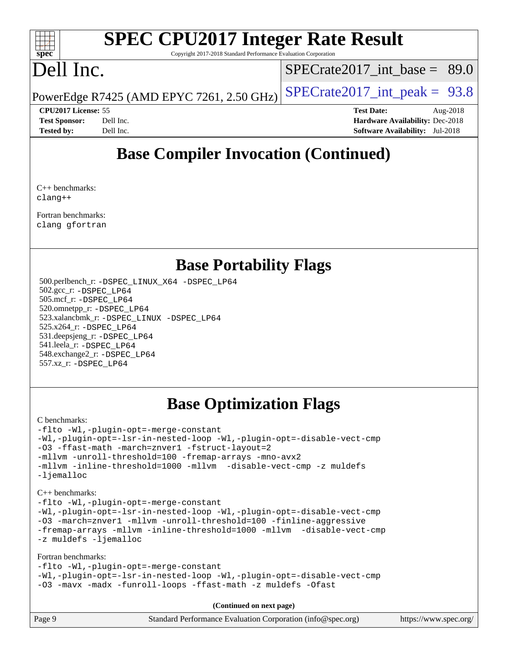#### $+\ +$ **[spec](http://www.spec.org/)**

# **[SPEC CPU2017 Integer Rate Result](http://www.spec.org/auto/cpu2017/Docs/result-fields.html#SPECCPU2017IntegerRateResult)**

Copyright 2017-2018 Standard Performance Evaluation Corporation

## Dell Inc.

SPECrate2017 int\_base =  $89.0$ 

PowerEdge R7425 (AMD EPYC 7261, 2.50 GHz)  $\left|$  [SPECrate2017\\_int\\_peak =](http://www.spec.org/auto/cpu2017/Docs/result-fields.html#SPECrate2017intpeak) 93.8

**[CPU2017 License:](http://www.spec.org/auto/cpu2017/Docs/result-fields.html#CPU2017License)** 55 **[Test Date:](http://www.spec.org/auto/cpu2017/Docs/result-fields.html#TestDate)** Aug-2018 **[Test Sponsor:](http://www.spec.org/auto/cpu2017/Docs/result-fields.html#TestSponsor)** Dell Inc. **[Hardware Availability:](http://www.spec.org/auto/cpu2017/Docs/result-fields.html#HardwareAvailability)** Dec-2018 **[Tested by:](http://www.spec.org/auto/cpu2017/Docs/result-fields.html#Testedby)** Dell Inc. **[Software Availability:](http://www.spec.org/auto/cpu2017/Docs/result-fields.html#SoftwareAvailability)** Jul-2018

## **[Base Compiler Invocation \(Continued\)](http://www.spec.org/auto/cpu2017/Docs/result-fields.html#BaseCompilerInvocation)**

[C++ benchmarks](http://www.spec.org/auto/cpu2017/Docs/result-fields.html#CXXbenchmarks): [clang++](http://www.spec.org/cpu2017/results/res2018q4/cpu2017-20181029-09364.flags.html#user_CXXbase_Fclang3_57a48582e5be507d19b2527b3e7d4f85d9b8669ffc9a8a0dbb9bcf949a918a58bbab411e0c4d14a3922022a3e425a90db94042683824c1806feff4324ca1000d)

[Fortran benchmarks](http://www.spec.org/auto/cpu2017/Docs/result-fields.html#Fortranbenchmarks): [clang](http://www.spec.org/cpu2017/results/res2018q4/cpu2017-20181029-09364.flags.html#user_FCbase_Fclang3_a68b77bfed473bd9cdd22529af008e8306c2e3948617c8991604c1a2000ee4a73ef90dd8bc793e105fe4165a625d26dacbda4708d828ad19048918c071b363ec) [gfortran](http://www.spec.org/cpu2017/results/res2018q4/cpu2017-20181029-09364.flags.html#user_FCbase_aocc-gfortran_128c91a56d61ddb07404721e65b8f9498c31a443dacbd3b7f212891090eca86e2d099b520f75b99e9e8ac4fdec01f4d15f0b65e47123ec4c42b0759045731a1f)

### **[Base Portability Flags](http://www.spec.org/auto/cpu2017/Docs/result-fields.html#BasePortabilityFlags)**

 500.perlbench\_r: [-DSPEC\\_LINUX\\_X64](http://www.spec.org/cpu2017/results/res2018q4/cpu2017-20181029-09364.flags.html#b500.perlbench_r_basePORTABILITY_DSPEC_LINUX_X64) [-DSPEC\\_LP64](http://www.spec.org/cpu2017/results/res2018q4/cpu2017-20181029-09364.flags.html#b500.perlbench_r_baseEXTRA_PORTABILITY_DSPEC_LP64) 502.gcc\_r: [-DSPEC\\_LP64](http://www.spec.org/cpu2017/results/res2018q4/cpu2017-20181029-09364.flags.html#suite_baseEXTRA_PORTABILITY502_gcc_r_DSPEC_LP64) 505.mcf\_r: [-DSPEC\\_LP64](http://www.spec.org/cpu2017/results/res2018q4/cpu2017-20181029-09364.flags.html#suite_baseEXTRA_PORTABILITY505_mcf_r_DSPEC_LP64) 520.omnetpp\_r: [-DSPEC\\_LP64](http://www.spec.org/cpu2017/results/res2018q4/cpu2017-20181029-09364.flags.html#suite_baseEXTRA_PORTABILITY520_omnetpp_r_DSPEC_LP64) 523.xalancbmk\_r: [-DSPEC\\_LINUX](http://www.spec.org/cpu2017/results/res2018q4/cpu2017-20181029-09364.flags.html#b523.xalancbmk_r_basePORTABILITY_DSPEC_LINUX) [-DSPEC\\_LP64](http://www.spec.org/cpu2017/results/res2018q4/cpu2017-20181029-09364.flags.html#suite_baseEXTRA_PORTABILITY523_xalancbmk_r_DSPEC_LP64) 525.x264\_r: [-DSPEC\\_LP64](http://www.spec.org/cpu2017/results/res2018q4/cpu2017-20181029-09364.flags.html#suite_baseEXTRA_PORTABILITY525_x264_r_DSPEC_LP64) 531.deepsjeng\_r: [-DSPEC\\_LP64](http://www.spec.org/cpu2017/results/res2018q4/cpu2017-20181029-09364.flags.html#suite_baseEXTRA_PORTABILITY531_deepsjeng_r_DSPEC_LP64) 541.leela\_r: [-DSPEC\\_LP64](http://www.spec.org/cpu2017/results/res2018q4/cpu2017-20181029-09364.flags.html#suite_baseEXTRA_PORTABILITY541_leela_r_DSPEC_LP64) 548.exchange2\_r: [-DSPEC\\_LP64](http://www.spec.org/cpu2017/results/res2018q4/cpu2017-20181029-09364.flags.html#suite_baseEXTRA_PORTABILITY548_exchange2_r_DSPEC_LP64) 557.xz\_r: [-DSPEC\\_LP64](http://www.spec.org/cpu2017/results/res2018q4/cpu2017-20181029-09364.flags.html#suite_baseEXTRA_PORTABILITY557_xz_r_DSPEC_LP64)

## **[Base Optimization Flags](http://www.spec.org/auto/cpu2017/Docs/result-fields.html#BaseOptimizationFlags)**

#### [C benchmarks](http://www.spec.org/auto/cpu2017/Docs/result-fields.html#Cbenchmarks):

[-flto](http://www.spec.org/cpu2017/results/res2018q4/cpu2017-20181029-09364.flags.html#user_CCbase_lto) [-Wl,-plugin-opt=-merge-constant](http://www.spec.org/cpu2017/results/res2018q4/cpu2017-20181029-09364.flags.html#user_CCbase_F-merge-constant_1d79771b5442061d9c8e05556c6b0c655e6c9e66f8c6936b0129d434b6acd2b1cf1b7cd2540d1570ff636111b08a6bc36e2e61fc34531f8ef7c1a34c57be1dbb) [-Wl,-plugin-opt=-lsr-in-nested-loop](http://www.spec.org/cpu2017/results/res2018q4/cpu2017-20181029-09364.flags.html#user_CCbase_lsr-in-nested-loop_1cff93fd95162f5e77640b5271e8bed680fb62b4a8d96fb8ab217ff3244646f1fbb342e31af83c263403bbf5249c7dc7732d5c86c3eab4cc8d32dcb7a6f33ca0) [-Wl,-plugin-opt=-disable-vect-cmp](http://www.spec.org/cpu2017/results/res2018q4/cpu2017-20181029-09364.flags.html#user_CCbase_disable-vect-cmp_1056b9a09b8ddc126e023b5f99ae33179ef568835465af9b7adeacf4b6480ff575c8aee439265bcfbcbf086f33f2fa5cca2bc4cf52b64c0cd2e10f6503cba02d) [-O3](http://www.spec.org/cpu2017/results/res2018q4/cpu2017-20181029-09364.flags.html#user_CCbase_F-O3) [-ffast-math](http://www.spec.org/cpu2017/results/res2018q4/cpu2017-20181029-09364.flags.html#user_CCbase_F-aocc-ffast-math_78dd175de6534c2005829757b9b0f2878e57b067cce6f7c443b2250ac68890960e2e1b320ca04b81ff7c62c6f87870ed05f06baf7875eea2990d38e3b73c71f1) [-march=znver1](http://www.spec.org/cpu2017/results/res2018q4/cpu2017-20181029-09364.flags.html#user_CCbase_F-march) [-fstruct-layout=2](http://www.spec.org/cpu2017/results/res2018q4/cpu2017-20181029-09364.flags.html#user_CCbase_F-fstruct-layout_a05ec02e17cdf7fe0c3950a6b005251b2b1e5e67af2b5298cf72714730c3d59ba290e75546b10aa22dac074c15ceaca36ae22c62cb51bcb2fbdc9dc4e7e222c4) [-mllvm -unroll-threshold=100](http://www.spec.org/cpu2017/results/res2018q4/cpu2017-20181029-09364.flags.html#user_CCbase_F-unroll-threshold_2755d0c78138845d361fa1543e3a063fffa198df9b3edf0cfb856bbc88a81e1769b12ac7a550c5d35197be55360db1a3f95a8d1304df999456cabf5120c45168) [-fremap-arrays](http://www.spec.org/cpu2017/results/res2018q4/cpu2017-20181029-09364.flags.html#user_CCbase_F-fremap-arrays) [-mno-avx2](http://www.spec.org/cpu2017/results/res2018q4/cpu2017-20181029-09364.flags.html#user_CCbase_F-mno-avx2) [-mllvm -inline-threshold=1000](http://www.spec.org/cpu2017/results/res2018q4/cpu2017-20181029-09364.flags.html#user_CCbase_inline-threshold_b7832241b0a6397e4ecdbaf0eb7defdc10f885c2a282fa3240fdc99844d543fda39cf8a4a9dccf68cf19b5438ac3b455264f478df15da0f4988afa40d8243bab) [-mllvm -disable-vect-cmp](http://www.spec.org/cpu2017/results/res2018q4/cpu2017-20181029-09364.flags.html#user_CCbase_disable-vect-cmp_d995c9eb800469498c6893dc847c54c903d59847b18cb2ac22011b9af7010c96d2d48d3c6b41246fe86945001509aa4dc528afb61cb238fd3b256a31781ea0cf) [-z muldefs](http://www.spec.org/cpu2017/results/res2018q4/cpu2017-20181029-09364.flags.html#user_CCbase_F-z-muldefs) [-ljemalloc](http://www.spec.org/cpu2017/results/res2018q4/cpu2017-20181029-09364.flags.html#user_CCbase_jemalloc-lib_d1249b907c500fa1c0672f44f562e3d0f79738ae9e3c4a9c376d49f265a04b9c99b167ecedbf6711b3085be911c67ff61f150a17b3472be731631ba4d0471706) [C++ benchmarks:](http://www.spec.org/auto/cpu2017/Docs/result-fields.html#CXXbenchmarks) [-flto](http://www.spec.org/cpu2017/results/res2018q4/cpu2017-20181029-09364.flags.html#user_CXXbase_lto) [-Wl,-plugin-opt=-merge-constant](http://www.spec.org/cpu2017/results/res2018q4/cpu2017-20181029-09364.flags.html#user_CXXbase_F-merge-constant_1d79771b5442061d9c8e05556c6b0c655e6c9e66f8c6936b0129d434b6acd2b1cf1b7cd2540d1570ff636111b08a6bc36e2e61fc34531f8ef7c1a34c57be1dbb) [-Wl,-plugin-opt=-lsr-in-nested-loop](http://www.spec.org/cpu2017/results/res2018q4/cpu2017-20181029-09364.flags.html#user_CXXbase_lsr-in-nested-loop_1cff93fd95162f5e77640b5271e8bed680fb62b4a8d96fb8ab217ff3244646f1fbb342e31af83c263403bbf5249c7dc7732d5c86c3eab4cc8d32dcb7a6f33ca0) [-Wl,-plugin-opt=-disable-vect-cmp](http://www.spec.org/cpu2017/results/res2018q4/cpu2017-20181029-09364.flags.html#user_CXXbase_disable-vect-cmp_1056b9a09b8ddc126e023b5f99ae33179ef568835465af9b7adeacf4b6480ff575c8aee439265bcfbcbf086f33f2fa5cca2bc4cf52b64c0cd2e10f6503cba02d) [-O3](http://www.spec.org/cpu2017/results/res2018q4/cpu2017-20181029-09364.flags.html#user_CXXbase_F-O3) [-march=znver1](http://www.spec.org/cpu2017/results/res2018q4/cpu2017-20181029-09364.flags.html#user_CXXbase_F-march) [-mllvm -unroll-threshold=100](http://www.spec.org/cpu2017/results/res2018q4/cpu2017-20181029-09364.flags.html#user_CXXbase_F-unroll-threshold_2755d0c78138845d361fa1543e3a063fffa198df9b3edf0cfb856bbc88a81e1769b12ac7a550c5d35197be55360db1a3f95a8d1304df999456cabf5120c45168) [-finline-aggressive](http://www.spec.org/cpu2017/results/res2018q4/cpu2017-20181029-09364.flags.html#user_CXXbase_F-finline-aggressive) [-fremap-arrays](http://www.spec.org/cpu2017/results/res2018q4/cpu2017-20181029-09364.flags.html#user_CXXbase_F-fremap-arrays) [-mllvm -inline-threshold=1000](http://www.spec.org/cpu2017/results/res2018q4/cpu2017-20181029-09364.flags.html#user_CXXbase_inline-threshold_b7832241b0a6397e4ecdbaf0eb7defdc10f885c2a282fa3240fdc99844d543fda39cf8a4a9dccf68cf19b5438ac3b455264f478df15da0f4988afa40d8243bab) [-mllvm -disable-vect-cmp](http://www.spec.org/cpu2017/results/res2018q4/cpu2017-20181029-09364.flags.html#user_CXXbase_disable-vect-cmp_d995c9eb800469498c6893dc847c54c903d59847b18cb2ac22011b9af7010c96d2d48d3c6b41246fe86945001509aa4dc528afb61cb238fd3b256a31781ea0cf) [-z muldefs](http://www.spec.org/cpu2017/results/res2018q4/cpu2017-20181029-09364.flags.html#user_CXXbase_F-z-muldefs) [-ljemalloc](http://www.spec.org/cpu2017/results/res2018q4/cpu2017-20181029-09364.flags.html#user_CXXbase_jemalloc-lib_d1249b907c500fa1c0672f44f562e3d0f79738ae9e3c4a9c376d49f265a04b9c99b167ecedbf6711b3085be911c67ff61f150a17b3472be731631ba4d0471706) [Fortran benchmarks](http://www.spec.org/auto/cpu2017/Docs/result-fields.html#Fortranbenchmarks): [-flto](http://www.spec.org/cpu2017/results/res2018q4/cpu2017-20181029-09364.flags.html#user_FCbase_lto) [-Wl,-plugin-opt=-merge-constant](http://www.spec.org/cpu2017/results/res2018q4/cpu2017-20181029-09364.flags.html#user_FCbase_F-merge-constant_1d79771b5442061d9c8e05556c6b0c655e6c9e66f8c6936b0129d434b6acd2b1cf1b7cd2540d1570ff636111b08a6bc36e2e61fc34531f8ef7c1a34c57be1dbb) [-Wl,-plugin-opt=-lsr-in-nested-loop](http://www.spec.org/cpu2017/results/res2018q4/cpu2017-20181029-09364.flags.html#user_FCbase_lsr-in-nested-loop_1cff93fd95162f5e77640b5271e8bed680fb62b4a8d96fb8ab217ff3244646f1fbb342e31af83c263403bbf5249c7dc7732d5c86c3eab4cc8d32dcb7a6f33ca0) [-Wl,-plugin-opt=-disable-vect-cmp](http://www.spec.org/cpu2017/results/res2018q4/cpu2017-20181029-09364.flags.html#user_FCbase_disable-vect-cmp_1056b9a09b8ddc126e023b5f99ae33179ef568835465af9b7adeacf4b6480ff575c8aee439265bcfbcbf086f33f2fa5cca2bc4cf52b64c0cd2e10f6503cba02d) [-O3](http://www.spec.org/cpu2017/results/res2018q4/cpu2017-20181029-09364.flags.html#user_FCbase_F-O3) [-mavx](http://www.spec.org/cpu2017/results/res2018q4/cpu2017-20181029-09364.flags.html#user_FCbase_F-mavx) [-madx](http://www.spec.org/cpu2017/results/res2018q4/cpu2017-20181029-09364.flags.html#user_FCbase_F-madx) [-funroll-loops](http://www.spec.org/cpu2017/results/res2018q4/cpu2017-20181029-09364.flags.html#user_FCbase_aocc-funroll-loops) [-ffast-math](http://www.spec.org/cpu2017/results/res2018q4/cpu2017-20181029-09364.flags.html#user_FCbase_F-aocc-ffast-math_78dd175de6534c2005829757b9b0f2878e57b067cce6f7c443b2250ac68890960e2e1b320ca04b81ff7c62c6f87870ed05f06baf7875eea2990d38e3b73c71f1) [-z muldefs](http://www.spec.org/cpu2017/results/res2018q4/cpu2017-20181029-09364.flags.html#user_FCbase_F-z-muldefs) [-Ofast](http://www.spec.org/cpu2017/results/res2018q4/cpu2017-20181029-09364.flags.html#user_FCbase_F-aocc-Ofast)

**(Continued on next page)**

| Page 9<br>Standard Performance Evaluation Corporation (info@spec.org)<br>https://www.spec.org/ |
|------------------------------------------------------------------------------------------------|
|------------------------------------------------------------------------------------------------|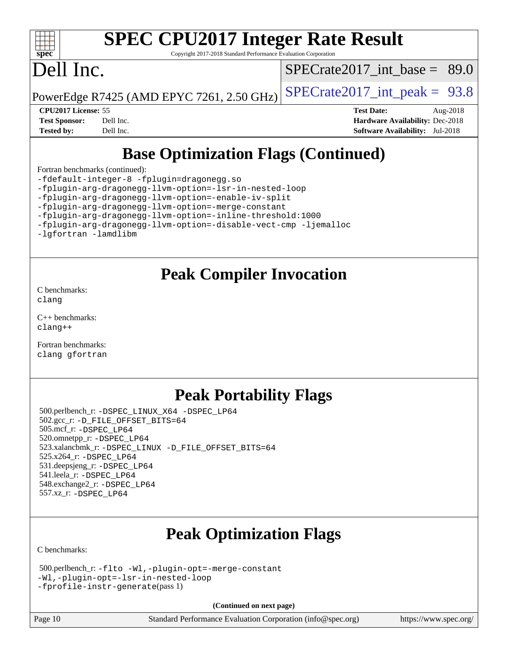

Copyright 2017-2018 Standard Performance Evaluation Corporation

## Dell Inc.

SPECrate2017 int\_base =  $89.0$ 

PowerEdge R7425 (AMD EPYC 7261, 2.50 GHz)  $\left|$  [SPECrate2017\\_int\\_peak =](http://www.spec.org/auto/cpu2017/Docs/result-fields.html#SPECrate2017intpeak) 93.8

**[CPU2017 License:](http://www.spec.org/auto/cpu2017/Docs/result-fields.html#CPU2017License)** 55 **[Test Date:](http://www.spec.org/auto/cpu2017/Docs/result-fields.html#TestDate)** Aug-2018 **[Test Sponsor:](http://www.spec.org/auto/cpu2017/Docs/result-fields.html#TestSponsor)** Dell Inc. **[Hardware Availability:](http://www.spec.org/auto/cpu2017/Docs/result-fields.html#HardwareAvailability)** Dec-2018 **[Tested by:](http://www.spec.org/auto/cpu2017/Docs/result-fields.html#Testedby)** Dell Inc. **[Software Availability:](http://www.spec.org/auto/cpu2017/Docs/result-fields.html#SoftwareAvailability)** Jul-2018

## **[Base Optimization Flags \(Continued\)](http://www.spec.org/auto/cpu2017/Docs/result-fields.html#BaseOptimizationFlags)**

[Fortran benchmarks](http://www.spec.org/auto/cpu2017/Docs/result-fields.html#Fortranbenchmarks) (continued):

[-fdefault-integer-8](http://www.spec.org/cpu2017/results/res2018q4/cpu2017-20181029-09364.flags.html#user_FCbase_F-fdefault-integer-8) [-fplugin=dragonegg.so](http://www.spec.org/cpu2017/results/res2018q4/cpu2017-20181029-09364.flags.html#user_FCbase_F-fpluginDragonEgg) [-fplugin-arg-dragonegg-llvm-option=-lsr-in-nested-loop](http://www.spec.org/cpu2017/results/res2018q4/cpu2017-20181029-09364.flags.html#user_FCbase_lsr-in-nested-loop_9d50e9a5bf5413862ef575cb99c4306f28354df375c817cbae12d1ca2160727959926001e898e7562b79430b7fa444a8df2254024818720af45ad007761bc4a7) [-fplugin-arg-dragonegg-llvm-option=-enable-iv-split](http://www.spec.org/cpu2017/results/res2018q4/cpu2017-20181029-09364.flags.html#user_FCbase_F-enable-iv-split_5dd88da1d43c18bd75cbdf250cf834c2151012bf076ae854827e69c5249e03739713e176d494b70eccfdbb757c13240bb0c8f0dd1fe462f4542b1525161a1ac7) [-fplugin-arg-dragonegg-llvm-option=-merge-constant](http://www.spec.org/cpu2017/results/res2018q4/cpu2017-20181029-09364.flags.html#user_FCbase_F-merge-constant_37fd66d07a4fbae8f1b816e843c3ed1ebaa48f794b65ea8be746a1880566a3d23eba4a3c37b5c024650311adcf9247c62af28144803b3729b14be14423fa5142) [-fplugin-arg-dragonegg-llvm-option=-inline-threshold:1000](http://www.spec.org/cpu2017/results/res2018q4/cpu2017-20181029-09364.flags.html#user_FCbase_inline-threshold_eec74946bf81becf626625ea3f1757217b7f1e09b0c056df6f4a6dc542562255a9e8a6d36c454b3b2ed3e147f40cf87a14a68e01ad47a8b90b49f15f387f919f) [-fplugin-arg-dragonegg-llvm-option=-disable-vect-cmp](http://www.spec.org/cpu2017/results/res2018q4/cpu2017-20181029-09364.flags.html#user_FCbase_disable-vect-cmp_d119dd6f96524d64dc477d5e6a72268aebe046b42f767098038bf7530fc0cc546dd329b2376104fde185baca14f7365ef86ccd3ff602b57a7839de005478f594) [-ljemalloc](http://www.spec.org/cpu2017/results/res2018q4/cpu2017-20181029-09364.flags.html#user_FCbase_jemalloc-lib_d1249b907c500fa1c0672f44f562e3d0f79738ae9e3c4a9c376d49f265a04b9c99b167ecedbf6711b3085be911c67ff61f150a17b3472be731631ba4d0471706) [-lgfortran](http://www.spec.org/cpu2017/results/res2018q4/cpu2017-20181029-09364.flags.html#user_FCbase_F-lgfortran) [-lamdlibm](http://www.spec.org/cpu2017/results/res2018q4/cpu2017-20181029-09364.flags.html#user_FCbase_F-lamdlibm)

### **[Peak Compiler Invocation](http://www.spec.org/auto/cpu2017/Docs/result-fields.html#PeakCompilerInvocation)**

[C benchmarks](http://www.spec.org/auto/cpu2017/Docs/result-fields.html#Cbenchmarks): [clang](http://www.spec.org/cpu2017/results/res2018q4/cpu2017-20181029-09364.flags.html#user_CCpeak_Fclang3_a68b77bfed473bd9cdd22529af008e8306c2e3948617c8991604c1a2000ee4a73ef90dd8bc793e105fe4165a625d26dacbda4708d828ad19048918c071b363ec)

[C++ benchmarks:](http://www.spec.org/auto/cpu2017/Docs/result-fields.html#CXXbenchmarks) [clang++](http://www.spec.org/cpu2017/results/res2018q4/cpu2017-20181029-09364.flags.html#user_CXXpeak_Fclang3_57a48582e5be507d19b2527b3e7d4f85d9b8669ffc9a8a0dbb9bcf949a918a58bbab411e0c4d14a3922022a3e425a90db94042683824c1806feff4324ca1000d)

[Fortran benchmarks](http://www.spec.org/auto/cpu2017/Docs/result-fields.html#Fortranbenchmarks): [clang](http://www.spec.org/cpu2017/results/res2018q4/cpu2017-20181029-09364.flags.html#user_FCpeak_Fclang3_a68b77bfed473bd9cdd22529af008e8306c2e3948617c8991604c1a2000ee4a73ef90dd8bc793e105fe4165a625d26dacbda4708d828ad19048918c071b363ec) [gfortran](http://www.spec.org/cpu2017/results/res2018q4/cpu2017-20181029-09364.flags.html#user_FCpeak_aocc-gfortran_128c91a56d61ddb07404721e65b8f9498c31a443dacbd3b7f212891090eca86e2d099b520f75b99e9e8ac4fdec01f4d15f0b65e47123ec4c42b0759045731a1f)

## **[Peak Portability Flags](http://www.spec.org/auto/cpu2017/Docs/result-fields.html#PeakPortabilityFlags)**

 500.perlbench\_r: [-DSPEC\\_LINUX\\_X64](http://www.spec.org/cpu2017/results/res2018q4/cpu2017-20181029-09364.flags.html#b500.perlbench_r_peakPORTABILITY_DSPEC_LINUX_X64) [-DSPEC\\_LP64](http://www.spec.org/cpu2017/results/res2018q4/cpu2017-20181029-09364.flags.html#b500.perlbench_r_peakEXTRA_PORTABILITY_DSPEC_LP64) 502.gcc\_r: [-D\\_FILE\\_OFFSET\\_BITS=64](http://www.spec.org/cpu2017/results/res2018q4/cpu2017-20181029-09364.flags.html#user_peakEXTRA_PORTABILITY502_gcc_r_F-D_FILE_OFFSET_BITS_5ae949a99b284ddf4e95728d47cb0843d81b2eb0e18bdfe74bbf0f61d0b064f4bda2f10ea5eb90e1dcab0e84dbc592acfc5018bc955c18609f94ddb8d550002c) 505.mcf\_r: [-DSPEC\\_LP64](http://www.spec.org/cpu2017/results/res2018q4/cpu2017-20181029-09364.flags.html#suite_peakEXTRA_PORTABILITY505_mcf_r_DSPEC_LP64) 520.omnetpp\_r: [-DSPEC\\_LP64](http://www.spec.org/cpu2017/results/res2018q4/cpu2017-20181029-09364.flags.html#suite_peakEXTRA_PORTABILITY520_omnetpp_r_DSPEC_LP64) 523.xalancbmk\_r: [-DSPEC\\_LINUX](http://www.spec.org/cpu2017/results/res2018q4/cpu2017-20181029-09364.flags.html#b523.xalancbmk_r_peakPORTABILITY_DSPEC_LINUX) [-D\\_FILE\\_OFFSET\\_BITS=64](http://www.spec.org/cpu2017/results/res2018q4/cpu2017-20181029-09364.flags.html#user_peakEXTRA_PORTABILITY523_xalancbmk_r_F-D_FILE_OFFSET_BITS_5ae949a99b284ddf4e95728d47cb0843d81b2eb0e18bdfe74bbf0f61d0b064f4bda2f10ea5eb90e1dcab0e84dbc592acfc5018bc955c18609f94ddb8d550002c) 525.x264\_r: [-DSPEC\\_LP64](http://www.spec.org/cpu2017/results/res2018q4/cpu2017-20181029-09364.flags.html#suite_peakEXTRA_PORTABILITY525_x264_r_DSPEC_LP64) 531.deepsjeng\_r: [-DSPEC\\_LP64](http://www.spec.org/cpu2017/results/res2018q4/cpu2017-20181029-09364.flags.html#suite_peakEXTRA_PORTABILITY531_deepsjeng_r_DSPEC_LP64) 541.leela\_r: [-DSPEC\\_LP64](http://www.spec.org/cpu2017/results/res2018q4/cpu2017-20181029-09364.flags.html#suite_peakEXTRA_PORTABILITY541_leela_r_DSPEC_LP64) 548.exchange2\_r: [-DSPEC\\_LP64](http://www.spec.org/cpu2017/results/res2018q4/cpu2017-20181029-09364.flags.html#suite_peakEXTRA_PORTABILITY548_exchange2_r_DSPEC_LP64) 557.xz\_r: [-DSPEC\\_LP64](http://www.spec.org/cpu2017/results/res2018q4/cpu2017-20181029-09364.flags.html#suite_peakEXTRA_PORTABILITY557_xz_r_DSPEC_LP64)

## **[Peak Optimization Flags](http://www.spec.org/auto/cpu2017/Docs/result-fields.html#PeakOptimizationFlags)**

[C benchmarks](http://www.spec.org/auto/cpu2017/Docs/result-fields.html#Cbenchmarks):

 500.perlbench\_r: [-flto](http://www.spec.org/cpu2017/results/res2018q4/cpu2017-20181029-09364.flags.html#user_peakCOPTIMIZEEXTRA_LDFLAGS500_perlbench_r_lto) [-Wl,-plugin-opt=-merge-constant](http://www.spec.org/cpu2017/results/res2018q4/cpu2017-20181029-09364.flags.html#user_peakEXTRA_LDFLAGS500_perlbench_r_F-merge-constant_1d79771b5442061d9c8e05556c6b0c655e6c9e66f8c6936b0129d434b6acd2b1cf1b7cd2540d1570ff636111b08a6bc36e2e61fc34531f8ef7c1a34c57be1dbb) [-Wl,-plugin-opt=-lsr-in-nested-loop](http://www.spec.org/cpu2017/results/res2018q4/cpu2017-20181029-09364.flags.html#user_peakEXTRA_LDFLAGS500_perlbench_r_lsr-in-nested-loop_1cff93fd95162f5e77640b5271e8bed680fb62b4a8d96fb8ab217ff3244646f1fbb342e31af83c263403bbf5249c7dc7732d5c86c3eab4cc8d32dcb7a6f33ca0) [-fprofile-instr-generate](http://www.spec.org/cpu2017/results/res2018q4/cpu2017-20181029-09364.flags.html#user_peakPASS1_CFLAGSPASS1_LDFLAGS500_perlbench_r_F-fprofile-instr-generate)(pass 1)

**(Continued on next page)**

Page 10 Standard Performance Evaluation Corporation [\(info@spec.org\)](mailto:info@spec.org) <https://www.spec.org/>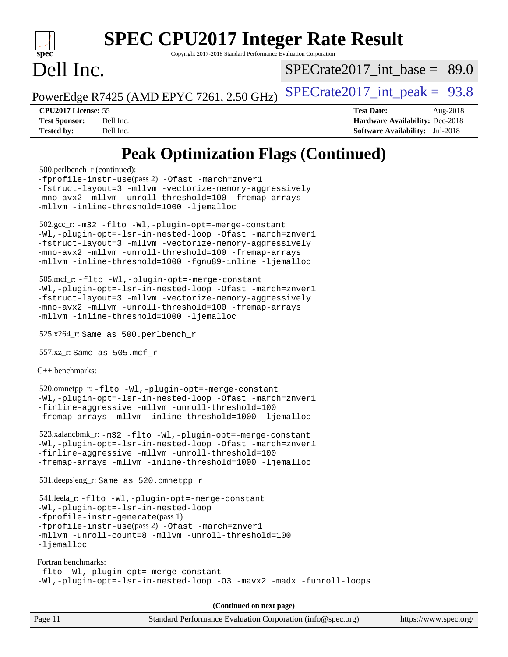

Copyright 2017-2018 Standard Performance Evaluation Corporation

## Dell Inc.

 $SPECrate2017\_int\_base = 89.0$ 

PowerEdge R7425 (AMD EPYC 7261, 2.50 GHz)  $\text{SPECrate}2017\_int\_peak = 93.8$ 

**[CPU2017 License:](http://www.spec.org/auto/cpu2017/Docs/result-fields.html#CPU2017License)** 55 **[Test Date:](http://www.spec.org/auto/cpu2017/Docs/result-fields.html#TestDate)** Aug-2018 **[Test Sponsor:](http://www.spec.org/auto/cpu2017/Docs/result-fields.html#TestSponsor)** Dell Inc. **[Hardware Availability:](http://www.spec.org/auto/cpu2017/Docs/result-fields.html#HardwareAvailability)** Dec-2018 **[Tested by:](http://www.spec.org/auto/cpu2017/Docs/result-fields.html#Testedby)** Dell Inc. **[Software Availability:](http://www.spec.org/auto/cpu2017/Docs/result-fields.html#SoftwareAvailability)** Jul-2018

## **[Peak Optimization Flags \(Continued\)](http://www.spec.org/auto/cpu2017/Docs/result-fields.html#PeakOptimizationFlags)**

500.perlbench\_r (continued):

[-fprofile-instr-use](http://www.spec.org/cpu2017/results/res2018q4/cpu2017-20181029-09364.flags.html#user_peakPASS2_CFLAGSPASS2_LDFLAGS500_perlbench_r_F-fprofile-instr-use)(pass 2) [-Ofast](http://www.spec.org/cpu2017/results/res2018q4/cpu2017-20181029-09364.flags.html#user_peakCOPTIMIZE500_perlbench_r_F-aocc-Ofast) [-march=znver1](http://www.spec.org/cpu2017/results/res2018q4/cpu2017-20181029-09364.flags.html#user_peakCOPTIMIZE500_perlbench_r_F-march) [-fstruct-layout=3](http://www.spec.org/cpu2017/results/res2018q4/cpu2017-20181029-09364.flags.html#user_peakCOPTIMIZE500_perlbench_r_F-fstruct-layout) [-mllvm -vectorize-memory-aggressively](http://www.spec.org/cpu2017/results/res2018q4/cpu2017-20181029-09364.flags.html#user_peakCOPTIMIZE500_perlbench_r_vectorize-memory-aggressively_24b72a4417f50ade9e698c5b3bed87ab456cc6fc8ec6439480cb84f36ad6a3975af6e87206dea402e3871a1464ff3d60bc798e0250f330177ba629a260df1857) [-mno-avx2](http://www.spec.org/cpu2017/results/res2018q4/cpu2017-20181029-09364.flags.html#user_peakCOPTIMIZE500_perlbench_r_F-mno-avx2) [-mllvm -unroll-threshold=100](http://www.spec.org/cpu2017/results/res2018q4/cpu2017-20181029-09364.flags.html#user_peakCOPTIMIZE500_perlbench_r_F-unroll-threshold_2755d0c78138845d361fa1543e3a063fffa198df9b3edf0cfb856bbc88a81e1769b12ac7a550c5d35197be55360db1a3f95a8d1304df999456cabf5120c45168) [-fremap-arrays](http://www.spec.org/cpu2017/results/res2018q4/cpu2017-20181029-09364.flags.html#user_peakCOPTIMIZE500_perlbench_r_F-fremap-arrays) [-mllvm -inline-threshold=1000](http://www.spec.org/cpu2017/results/res2018q4/cpu2017-20181029-09364.flags.html#user_peakCOPTIMIZE500_perlbench_r_inline-threshold_b7832241b0a6397e4ecdbaf0eb7defdc10f885c2a282fa3240fdc99844d543fda39cf8a4a9dccf68cf19b5438ac3b455264f478df15da0f4988afa40d8243bab) [-ljemalloc](http://www.spec.org/cpu2017/results/res2018q4/cpu2017-20181029-09364.flags.html#user_peakEXTRA_LIBS500_perlbench_r_jemalloc-lib_d1249b907c500fa1c0672f44f562e3d0f79738ae9e3c4a9c376d49f265a04b9c99b167ecedbf6711b3085be911c67ff61f150a17b3472be731631ba4d0471706)

```
 502.gcc_r: -m32 -flto -Wl,-plugin-opt=-merge-constant
-Wl,-plugin-opt=-lsr-in-nested-loop -Ofast -march=znver1
-fstruct-layout=3 -mllvm -vectorize-memory-aggressively
-mno-avx2 -mllvm -unroll-threshold=100 -fremap-arrays
-mllvm -inline-threshold=1000 -fgnu89-inline -ljemalloc
```

```
 505.mcf_r: -flto -Wl,-plugin-opt=-merge-constant
-Wl,-plugin-opt=-lsr-in-nested-loop -Ofast -march=znver1
-fstruct-layout=3 -mllvm -vectorize-memory-aggressively
-mno-avx2 -mllvm -unroll-threshold=100 -fremap-arrays
-mllvm -inline-threshold=1000 -ljemalloc
```
525.x264\_r: Same as 500.perlbench\_r

557.xz\_r: Same as 505.mcf\_r

[C++ benchmarks:](http://www.spec.org/auto/cpu2017/Docs/result-fields.html#CXXbenchmarks)

```
 520.omnetpp_r: -flto -Wl,-plugin-opt=-merge-constant
-Wl,-plugin-opt=-lsr-in-nested-loop -Ofast -march=znver1
-finline-aggressive -mllvm -unroll-threshold=100
-fremap-arrays -mllvm -inline-threshold=1000 -ljemalloc
```
 523.xalancbmk\_r: [-m32](http://www.spec.org/cpu2017/results/res2018q4/cpu2017-20181029-09364.flags.html#user_peakCXXLD523_xalancbmk_r_F-m32) [-flto](http://www.spec.org/cpu2017/results/res2018q4/cpu2017-20181029-09364.flags.html#user_peakCXXOPTIMIZEEXTRA_LDFLAGS523_xalancbmk_r_lto) [-Wl,-plugin-opt=-merge-constant](http://www.spec.org/cpu2017/results/res2018q4/cpu2017-20181029-09364.flags.html#user_peakEXTRA_LDFLAGS523_xalancbmk_r_F-merge-constant_1d79771b5442061d9c8e05556c6b0c655e6c9e66f8c6936b0129d434b6acd2b1cf1b7cd2540d1570ff636111b08a6bc36e2e61fc34531f8ef7c1a34c57be1dbb) [-Wl,-plugin-opt=-lsr-in-nested-loop](http://www.spec.org/cpu2017/results/res2018q4/cpu2017-20181029-09364.flags.html#user_peakEXTRA_LDFLAGS523_xalancbmk_r_lsr-in-nested-loop_1cff93fd95162f5e77640b5271e8bed680fb62b4a8d96fb8ab217ff3244646f1fbb342e31af83c263403bbf5249c7dc7732d5c86c3eab4cc8d32dcb7a6f33ca0) [-Ofast](http://www.spec.org/cpu2017/results/res2018q4/cpu2017-20181029-09364.flags.html#user_peakCXXOPTIMIZE523_xalancbmk_r_F-aocc-Ofast) [-march=znver1](http://www.spec.org/cpu2017/results/res2018q4/cpu2017-20181029-09364.flags.html#user_peakCXXOPTIMIZE523_xalancbmk_r_F-march) [-finline-aggressive](http://www.spec.org/cpu2017/results/res2018q4/cpu2017-20181029-09364.flags.html#user_peakCXXOPTIMIZE523_xalancbmk_r_F-finline-aggressive) [-mllvm -unroll-threshold=100](http://www.spec.org/cpu2017/results/res2018q4/cpu2017-20181029-09364.flags.html#user_peakCXXOPTIMIZE523_xalancbmk_r_F-unroll-threshold_2755d0c78138845d361fa1543e3a063fffa198df9b3edf0cfb856bbc88a81e1769b12ac7a550c5d35197be55360db1a3f95a8d1304df999456cabf5120c45168) [-fremap-arrays](http://www.spec.org/cpu2017/results/res2018q4/cpu2017-20181029-09364.flags.html#user_peakCXXOPTIMIZE523_xalancbmk_r_F-fremap-arrays) [-mllvm -inline-threshold=1000](http://www.spec.org/cpu2017/results/res2018q4/cpu2017-20181029-09364.flags.html#user_peakCXXOPTIMIZE523_xalancbmk_r_inline-threshold_b7832241b0a6397e4ecdbaf0eb7defdc10f885c2a282fa3240fdc99844d543fda39cf8a4a9dccf68cf19b5438ac3b455264f478df15da0f4988afa40d8243bab) [-ljemalloc](http://www.spec.org/cpu2017/results/res2018q4/cpu2017-20181029-09364.flags.html#user_peakEXTRA_LIBS523_xalancbmk_r_jemalloc-lib_d1249b907c500fa1c0672f44f562e3d0f79738ae9e3c4a9c376d49f265a04b9c99b167ecedbf6711b3085be911c67ff61f150a17b3472be731631ba4d0471706)

531.deepsjeng\_r: Same as 520.omnetpp\_r

```
 541.leela_r: -flto -Wl,-plugin-opt=-merge-constant
-Wl,-plugin-opt=-lsr-in-nested-loop
-fprofile-instr-generate(pass 1)
-fprofile-instr-use(pass 2) -Ofast -march=znver1
-mllvm -unroll-count=8 -mllvm -unroll-threshold=100
-ljemalloc
```

```
Fortran benchmarks: 
-flto -Wl,-plugin-opt=-merge-constant
-Wl,-plugin-opt=-lsr-in-nested-loop -O3 -mavx2 -madx -funroll-loops
```
**(Continued on next page)**